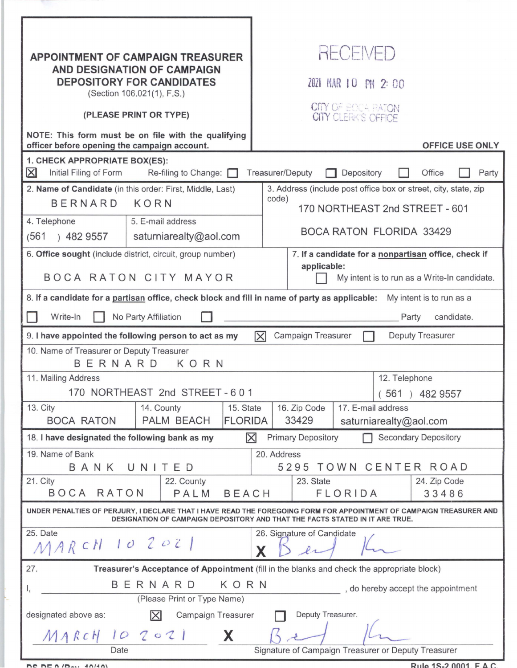| <b>APPOINTMENT OF CAMPAIGN TREASURER</b>                                                                                                                                                            |                        |                | <b>RECEIVED</b>                                                                                            |                                                             |  |  |                        |  |  |
|-----------------------------------------------------------------------------------------------------------------------------------------------------------------------------------------------------|------------------------|----------------|------------------------------------------------------------------------------------------------------------|-------------------------------------------------------------|--|--|------------------------|--|--|
| <b>AND DESIGNATION OF CAMPAIGN</b><br><b>DEPOSITORY FOR CANDIDATES</b><br>(Section 106.021(1), F.S.)                                                                                                |                        |                | 2021 MAR 10 PM 2:00                                                                                        |                                                             |  |  |                        |  |  |
| (PLEASE PRINT OR TYPE)                                                                                                                                                                              |                        |                | CITY OF BOCA BATON<br><b>CITY CLERK'S OFFICE</b>                                                           |                                                             |  |  |                        |  |  |
| NOTE: This form must be on file with the qualifying<br>officer before opening the campaign account.                                                                                                 |                        |                |                                                                                                            |                                                             |  |  | <b>OFFICE USE ONLY</b> |  |  |
| 1. CHECK APPROPRIATE BOX(ES):<br>$\boxtimes$<br>Initial Filing of Form<br>Re-filing to Change:<br><b>Treasurer/Deputy</b><br>Depository<br>Office<br>Party                                          |                        |                |                                                                                                            |                                                             |  |  |                        |  |  |
| 2. Name of Candidate (in this order: First, Middle, Last)                                                                                                                                           |                        |                | 3. Address (include post office box or street, city, state, zip<br>code)<br>170 NORTHEAST 2nd STREET - 601 |                                                             |  |  |                        |  |  |
| <b>BERNARD</b><br>KORN                                                                                                                                                                              |                        |                |                                                                                                            |                                                             |  |  |                        |  |  |
| 4. Telephone                                                                                                                                                                                        | 5. E-mail address      |                |                                                                                                            |                                                             |  |  |                        |  |  |
| (561)<br>) 482 9557                                                                                                                                                                                 | saturniarealty@aol.com |                |                                                                                                            | <b>BOCA RATON FLORIDA 33429</b>                             |  |  |                        |  |  |
| 6. Office sought (include district, circuit, group number)                                                                                                                                          |                        |                | 7. If a candidate for a nonpartisan office, check if                                                       |                                                             |  |  |                        |  |  |
| BOCA RATON CITY MAYOR                                                                                                                                                                               |                        |                |                                                                                                            | applicable:<br>My intent is to run as a Write-In candidate. |  |  |                        |  |  |
| 8. If a candidate for a partisan office, check block and fill in name of party as applicable: My intent is to run as a                                                                              |                        |                |                                                                                                            |                                                             |  |  |                        |  |  |
| Write-In<br>No Party Affiliation<br>candidate.<br>Party                                                                                                                                             |                        |                |                                                                                                            |                                                             |  |  |                        |  |  |
| Campaign Treasurer<br>Deputy Treasurer<br>9. I have appointed the following person to act as my<br>区                                                                                                |                        |                |                                                                                                            |                                                             |  |  |                        |  |  |
| 10. Name of Treasurer or Deputy Treasurer<br>BERNARD<br>KORN                                                                                                                                        |                        |                |                                                                                                            |                                                             |  |  |                        |  |  |
| 11. Mailing Address                                                                                                                                                                                 |                        |                |                                                                                                            | 12. Telephone                                               |  |  |                        |  |  |
| 170 NORTHEAST 2nd STREET - 601                                                                                                                                                                      |                        |                |                                                                                                            | $(561)$ 482 9557                                            |  |  |                        |  |  |
| 13. City                                                                                                                                                                                            | 14. County             | 15. State      | 16. Zip Code<br>17. E-mail address                                                                         |                                                             |  |  |                        |  |  |
| <b>BOCA RATON</b>                                                                                                                                                                                   | PALM BEACH             | <b>FLORIDA</b> | 33429<br>saturniarealty@aol.com                                                                            |                                                             |  |  |                        |  |  |
| <b>Secondary Depository</b><br>$\mathsf{\times}$<br><b>Primary Depository</b><br>18. I have designated the following bank as my                                                                     |                        |                |                                                                                                            |                                                             |  |  |                        |  |  |
| 19. Name of Bank<br>BANK UNITED                                                                                                                                                                     |                        |                |                                                                                                            | 20. Address<br>5295 TOWN CENTER ROAD                        |  |  |                        |  |  |
| 21. City<br>22. County                                                                                                                                                                              |                        |                |                                                                                                            | 23. State<br>24. Zip Code                                   |  |  |                        |  |  |
| BOCA<br>RATON<br>PALM<br><b>BEACH</b>                                                                                                                                                               |                        |                |                                                                                                            | FLORIDA<br>33486                                            |  |  |                        |  |  |
| UNDER PENALTIES OF PERJURY, I DECLARE THAT I HAVE READ THE FOREGOING FORM FOR APPOINTMENT OF CAMPAIGN TREASURER AND<br>DESIGNATION OF CAMPAIGN DEPOSITORY AND THAT THE FACTS STATED IN IT ARE TRUE. |                        |                |                                                                                                            |                                                             |  |  |                        |  |  |
| 25. Date<br>26. Signature of Candidate<br>MARCH 10 2021                                                                                                                                             |                        |                |                                                                                                            |                                                             |  |  |                        |  |  |
| 27.<br>Treasurer's Acceptance of Appointment (fill in the blanks and check the appropriate block)                                                                                                   |                        |                |                                                                                                            |                                                             |  |  |                        |  |  |
| BERNARD<br>KORN<br>, do hereby accept the appointment<br>1,                                                                                                                                         |                        |                |                                                                                                            |                                                             |  |  |                        |  |  |
| (Please Print or Type Name)                                                                                                                                                                         |                        |                |                                                                                                            |                                                             |  |  |                        |  |  |
| Deputy Treasurer.<br>designated above as:<br>$\mathsf{X}$<br>Campaign Treasurer                                                                                                                     |                        |                |                                                                                                            |                                                             |  |  |                        |  |  |
| X<br>$MARCH$ 10 2021                                                                                                                                                                                |                        |                |                                                                                                            |                                                             |  |  |                        |  |  |
| Signature of Campaign Treasurer or Deputy Treasurer<br>Date                                                                                                                                         |                        |                |                                                                                                            |                                                             |  |  |                        |  |  |

**DC DE 0/B**<sub>21</sub> 40/40)

 $Pul_0$  15.2,0001  $E \wedge C$